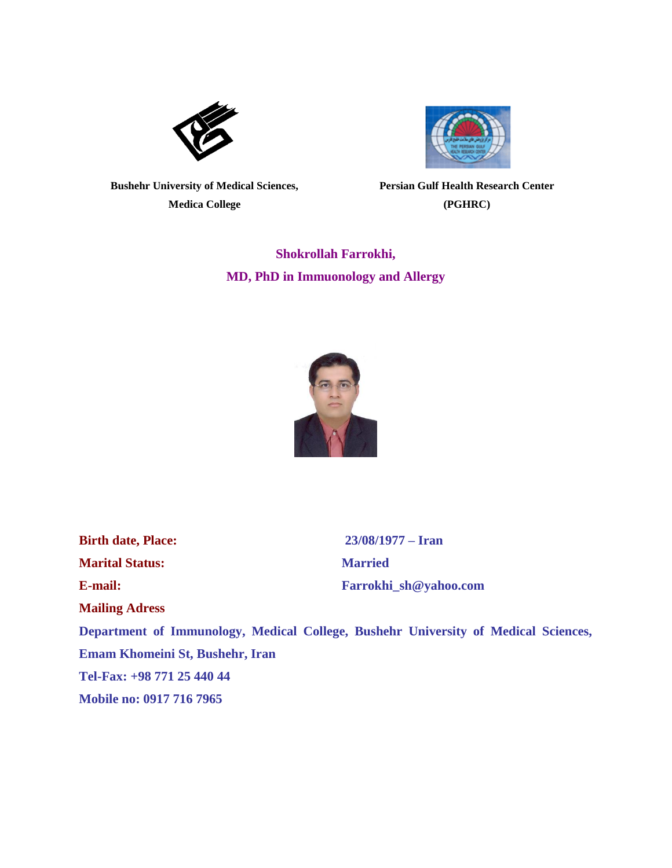



**Bushehr University of Medical Sciences, Medica College**

**Persian Gulf Health Research Center (PGHRC)**

**Shokrollah Farrokhi, MD, PhD in Immuonology and Allergy**



**Marital Status: Married**

**Mailing Adress**

**Birth date, Place: 23/08/1977 – Iran E-mail: [Farrokhi\\_sh@yahoo.com](mailto:Farrokhi_sh@yahoo.com)**

**Department of Immunology, Medical College, Bushehr University of Medical Sciences, Emam Khomeini St, Bushehr, Iran Tel-Fax: +98 771 25 440 44 Mobile no: 0917 716 7965**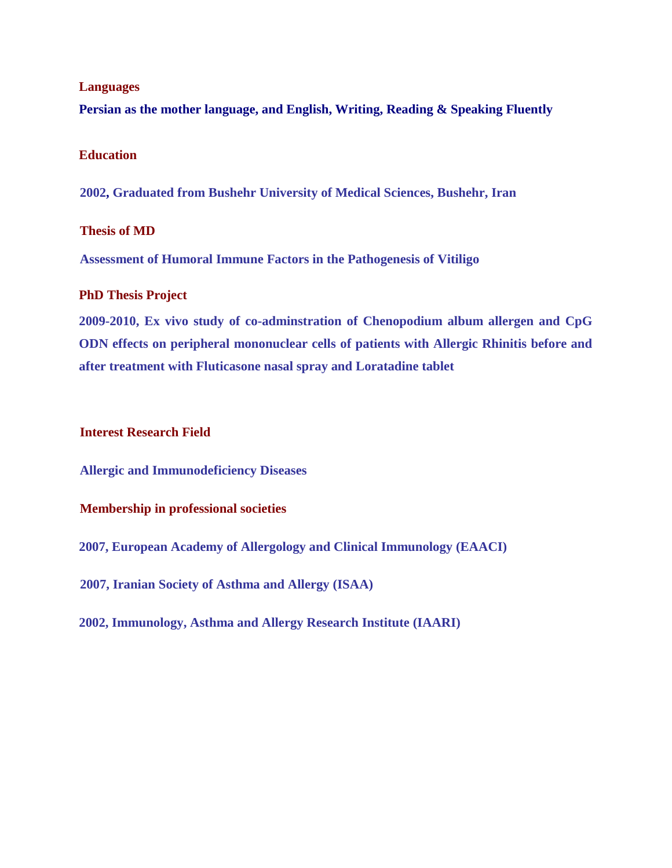### **Languages**

**Persian as the mother language, and English, Writing, Reading & Speaking Fluently**

### **Education**

**2002, Graduated from Bushehr University of Medical Sciences, Bushehr, Iran**

### **Thesis of MD**

**Assessment of Humoral Immune Factors in the Pathogenesis of Vitiligo** 

## **PhD Thesis Project**

**2009-2010, Ex vivo study of co-adminstration of Chenopodium album allergen and CpG ODN effects on peripheral mononuclear cells of patients with Allergic Rhinitis before and after treatment with Fluticasone nasal spray and Loratadine tablet**

## **Interest Research Field**

**Allergic and Immunodeficiency Diseases**

# **Membership in professional societies**

**2007, [European Academy of Allergology and Clinical Immunology \(EAACI\)](http://www.eaaci.org/)**

**2007, Iranian Society of Asthma and Allergy [\(ISAA\)](http://www.ctsnet.org/)**

**2002, Immunology, Asthma and Allergy Research Institute (IAARI)**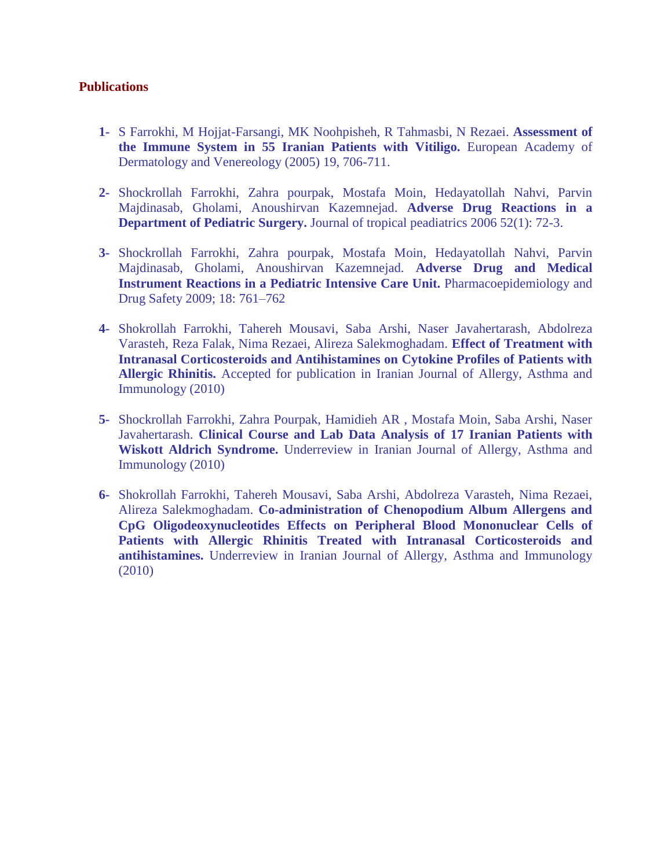## **Publications**

- **1-** S Farrokhi, M Hojjat-Farsangi, MK Noohpisheh, R Tahmasbi, N Rezaei. **Assessment of the Immune System in 55 Iranian Patients with Vitiligo.** European Academy of Dermatology and Venereology (2005) 19, 706-711.
- **2-** Shockrollah Farrokhi, Zahra pourpak, Mostafa Moin, Hedayatollah Nahvi, Parvin Majdinasab, Gholami, Anoushirvan Kazemnejad. **Adverse Drug Reactions in a Department of Pediatric Surgery.** Journal of tropical peadiatrics 2006 52(1): 72-3.
- **3-** Shockrollah Farrokhi, Zahra pourpak, Mostafa Moin, Hedayatollah Nahvi, Parvin Majdinasab, Gholami, Anoushirvan Kazemnejad. **Adverse Drug and Medical Instrument Reactions in a Pediatric Intensive Care Unit.** Pharmacoepidemiology and Drug Safety 2009; 18: 761–762
- **4-** Shokrollah Farrokhi, Tahereh Mousavi, Saba Arshi, Naser Javahertarash, Abdolreza Varasteh, Reza Falak, Nima Rezaei, Alireza Salekmoghadam. **Effect of Treatment with Intranasal Corticosteroids and Antihistamines on Cytokine Profiles of Patients with Allergic Rhinitis.** Accepted for publication in Iranian Journal of Allergy, Asthma and Immunology (2010)
- **5-** Shockrollah Farrokhi, Zahra Pourpak, Hamidieh AR , Mostafa Moin, Saba Arshi, Naser Javahertarash. **Clinical Course and Lab Data Analysis of 17 Iranian Patients with Wiskott Aldrich Syndrome.** Underreview in Iranian Journal of Allergy, Asthma and Immunology (2010)
- **6-** Shokrollah Farrokhi, Tahereh Mousavi, Saba Arshi, Abdolreza Varasteh, Nima Rezaei, Alireza Salekmoghadam. **Co-administration of Chenopodium Album Allergens and CpG Oligodeoxynucleotides Effects on Peripheral Blood Mononuclear Cells of Patients with Allergic Rhinitis Treated with Intranasal Corticosteroids and antihistamines.** Underreview in Iranian Journal of Allergy, Asthma and Immunology (2010)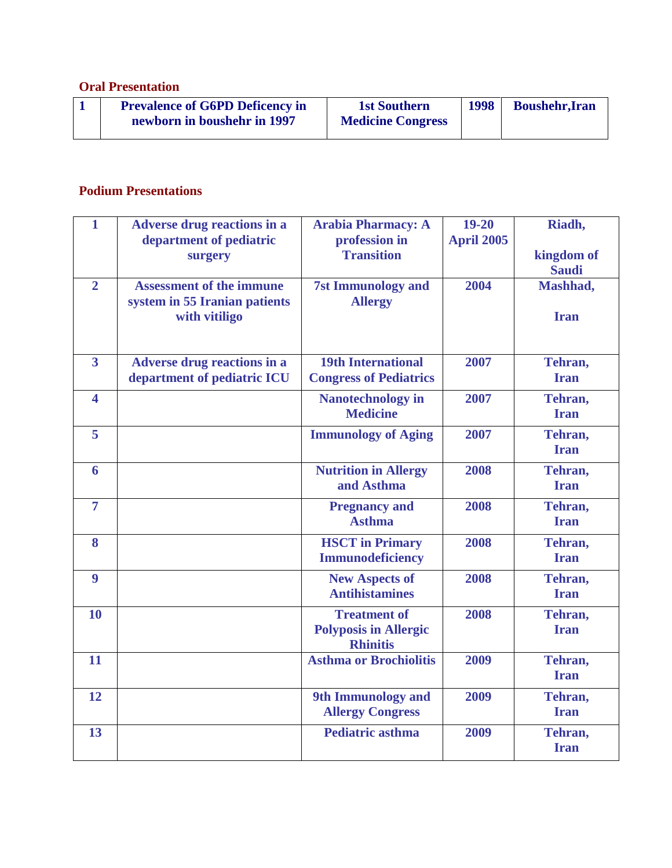# **Oral Presentation**

## **Podium Presentations**

| $\mathbf{1}$            | <b>Adverse drug reactions in a</b>                                                | <b>Arabia Pharmacy: A</b>                                              | $19 - 20$         | Riadh,                     |
|-------------------------|-----------------------------------------------------------------------------------|------------------------------------------------------------------------|-------------------|----------------------------|
|                         | department of pediatric<br>surgery                                                | profession in<br><b>Transition</b>                                     | <b>April 2005</b> | kingdom of<br><b>Saudi</b> |
| $\overline{2}$          | <b>Assessment of the immune</b><br>system in 55 Iranian patients<br>with vitiligo | <b>7st Immunology and</b><br><b>Allergy</b>                            | 2004              | Mashhad,<br><b>Iran</b>    |
| $\overline{\mathbf{3}}$ | <b>Adverse drug reactions in a</b><br>department of pediatric ICU                 | <b>19th International</b><br><b>Congress of Pediatrics</b>             | 2007              | Tehran,<br><b>Iran</b>     |
| $\overline{\mathbf{4}}$ |                                                                                   | <b>Nanotechnology in</b><br><b>Medicine</b>                            | 2007              | Tehran,<br><b>Iran</b>     |
| 5                       |                                                                                   | <b>Immunology of Aging</b>                                             | 2007              | Tehran,<br><b>Iran</b>     |
| 6                       |                                                                                   | <b>Nutrition in Allergy</b><br>and Asthma                              | 2008              | Tehran,<br><b>Iran</b>     |
| $\overline{7}$          |                                                                                   | <b>Pregnancy and</b><br><b>Asthma</b>                                  | 2008              | Tehran,<br><b>Iran</b>     |
| 8                       |                                                                                   | <b>HSCT</b> in Primary<br>Immunodeficiency                             | 2008              | Tehran,<br><b>Iran</b>     |
| 9                       |                                                                                   | <b>New Aspects of</b><br><b>Antihistamines</b>                         | 2008              | Tehran,<br><b>Iran</b>     |
| 10                      |                                                                                   | <b>Treatment of</b><br><b>Polyposis in Allergic</b><br><b>Rhinitis</b> | 2008              | Tehran,<br><b>Iran</b>     |
| 11                      |                                                                                   | <b>Asthma or Brochiolitis</b>                                          | 2009              | Tehran,<br><b>Iran</b>     |
| 12                      |                                                                                   | 9th Immunology and<br><b>Allergy Congress</b>                          | 2009              | Tehran,<br><b>Iran</b>     |
| 13                      |                                                                                   | <b>Pediatric asthma</b>                                                | 2009              | Tehran,<br><b>Iran</b>     |